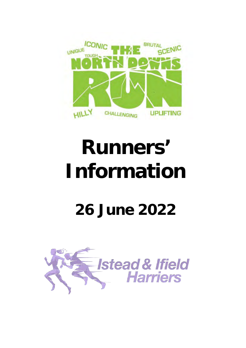

# **Runners' Information**

# **26 June 2022**

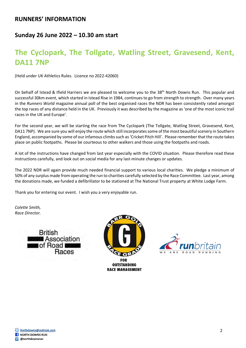#### **RUNNERS' INFORMATION**

#### **Sunday 26 June 2022 – 10.30 am start**

### **The Cyclopark, The Tollgate, Watling Street, Gravesend, Kent, DA11 7NP**

(Held under UK Athletics Rules. Licence no 2022-42060)

On behalf of Istead & Ifield Harriers we are pleased to welcome you to the 38<sup>th</sup> North Downs Run. This popular and successful 30km event, which started in Istead Rise in 1984, continues to go from strength to strength. Over many years in the *Runners World* magazine annual poll of the best organised races the NDR has been consistently rated amongst the top races of any distance held in the UK. Previously it was described by the magazine as 'one of the most iconic trail races in the UK and Europe'.

For the second year, we will be starting the race from The Cyclopark (The Tollgate, Watling Street, Gravesend, Kent, DA11 7NP). We are sure you will enjoy the route which still incorporates some of the most beautiful scenery in Southern England, accompanied by some of our infamous climbs such as 'Cricket Pitch Hill'. Please remember that the route takes place on public footpaths. Please be courteous to other walkers and those using the footpaths and roads.

A lot of the instructions have changed from last year especially with the COVID situation. Please therefore read these instructions carefully, and look out on social media for any last-minute changes or updates.

The 2022 NDR will again provide much needed financial support to various local charities. We pledge a minimum of 50% of any surplus made from operating the run to charities carefully selected by the Race Committee. Last year, among the donations made, we funded a defibrillator to be stationed at The National Trust property at White Lodge Farm.

Thank you for entering our event. I wish you a very enjoyable run.

*Colette Smith, Race Director.* 







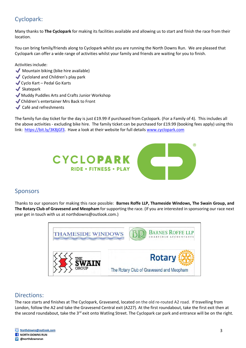#### Cyclopark:

Many thanks to **The Cyclopark** for making its facilities available and allowing us to start and finish the race from their location.

You can bring family/friends along to Cyclopark whilst you are running the North Downs Run. We are pleased that Cyclopark can offer a wide range of activities whilst your family and friends are waiting for you to finish.

Activities include:

- $\blacktriangleright$  Mountain biking (bike hire available)
- ◆ Cycloland and Children's play park
- �Cyclo Kart Pedal Go Karts
- $\blacktriangleright$  Skatepark
- �Muddy Puddles Arts and Crafts Junior Workshop
- �Children's entertainer Mrs Back to Front
- Café and refreshments

The family fun day ticket for the day is just £19.99 if purchased from Cyclopark. (For a Family of 4). This includes all the above activities - excluding bike hire. The family ticket can be purchased for £19.99 (booking fees apply) using this link: [https://bit.ly/3K8jGf3.](https://bit.ly/3K8jGf3) Have a look at their website for full details [www.cyclopark.com](http://www.cyclopark.com/) 



#### Sponsors

Thanks to our sponsors for making this race possible: **Barnes Roffe LLP, Thameside Windows, The Swain Group, and The Rotary Club of Gravesend and Meopham** for supporting the race. (If you are interested in sponsoring our race next year get in touch with us at [northdowns@outlook.com.](mailto:northdowns@outlook.com))



#### Directions:

The race starts and finishes at The Cyclopark, Gravesend, located on the old re-routed A2 road. If travelling from London, follow the A2 and take the Gravesend Central exit (A227). At the first roundabout, take the first exit then at the second roundabout, take the 3<sup>rd</sup> exit onto Watling Street. The Cyclopark car park and entrance will be on the right.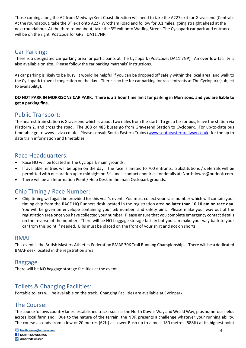Those coming along the A2 from Medway/Kent Coast direction will need to take the A227 exit for Gravesend (Central). At the roundabout, take the 3<sup>rd</sup> exit onto A227 Wrotham Road and follow for 0.1 miles, going straight ahead at the next roundabout. At the third roundabout, take the 3<sup>rd</sup> exit onto Watling Street. The Cyclopark car park and entrance will be on the right. Postcode for GPS: DA11 7NP.

#### Car Parking:

There is a designated car parking area for participants at The Cyclopark (Postcode: DA11 7NP). An overflow facility is also available on site. Please follow the car parking marshals' instructions.

As car parking is likely to be busy, it would be helpful if you can be dropped off safely within the local area, and walk to the Cyclopark to avoid congestion on the day. There is no fee for car parking for race entrants at The Cyclopark (subject to availability).

#### **DO NOT PARK IN MORRISONS CAR PARK. There is a 3 hour time limit for parking in Morrisons, and you are liable to get a parking fine.**

#### Public Transport:

The nearest train station is Gravesend which is about two miles from the start. To get a taxi or bus, leave the station via Platform 2, and cross the road. The 308 or 483 buses go from Gravesend Station to Cyclopark. For up-to-date bus timetable go to www.aviva.co.uk. Please consult South Eastern Trains [\(www.southeasternrailway.co.uk\)](http://www.southeasternrailway.co.uk/) for the up to date train information and timetables.

#### Race Headquarters:

- Race HQ will be located in The Cyclopark main grounds.
- If available, entries will be open on the day. The race is limited to 700 entrants. Substitutions / deferrals will be permitted with declaration up to midnight on 5<sup>th</sup> June – contact enquiries for details at[: Northdowns@outlook.com.](mailto:Northdowns@outlook.com)
- There will be an Information Point / Help Desk in the main Cyclopark grounds.

#### Chip Timing / Race Number:

• Chip timing will again be provided for this year's event. You must collect your race number which will contain your timing chip from the RACE HQ Runners desk located in the registration area **no later than 10.10 am on race day**. You will be given an envelope containing your bib number, and safety pins. Please make your way out of the registration area once you have collected your number. Please ensure that you complete emergency contact details on the reverse of the number. There will be NO baggage storage facility but you can make your way back to your car from this point if needed. Bibs must be placed on the front of your shirt and not on shorts.

#### **BMAF**

This event is the British Masters Athletics Federation BMAF 30K Trail Running Championships. There will be a dedicated BMAF desk located in the registration area.

#### Baggage

There will be **NO** baggage storage facilities at the event

#### Toilets & Changing Facilities:

Portable toilets will be available on the track. Changing Facilities are available at Cyclopark.

#### The Course:

The course follows country lanes, established tracks such as the North Downs Way and Weald Way, plus numerous fields across local farmland. Due to the nature of the terrain, the NDR presents a challenge whatever your running ability. The course ascends from a low of 20 metres (62ft) at Lower Bush up to almost 180 metres (588ft) at its highest point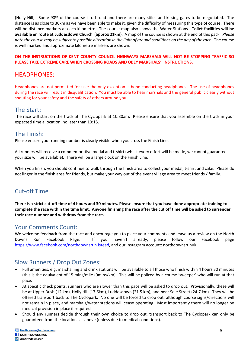(Holly Hill). Some 90% of the course is off-road and there are many stiles and kissing gates to be negotiated. The distance is as close to 30km as we have been able to make it, given the difficulty of measuring this type of course. There will be distance markers at each kilometre. The course map also shows the Water Stations. **Toilet facilities will be available en route at Luddesdown Church (approx 21km)**. A map of the course is shown at the end of this pack. *Please note the course may be subject to possible alteration in the light of ground conditions on the day of the race.* The course is well marked and approximate kilometre markers are shown.

#### **ON THE INSTRUCTIONS OF KENT COUNTY COUNCIL HIGHWAYS MARSHALS WILL NOT BE STOPPING TRAFFIC SO PLEASE TAKE EXTREME CARE WHEN CROSSING ROADS AND OBEY MARSHALS' INSTRUCTIONS.**

#### HEADPHONES:

Headphones are not permitted for use; the only exception is bone conducting headphones. The use of headphones during the race will result in disqualification. You must be able to hear marshals and the general public clearly without shouting for your safety and the safety of others around you.

#### The Start:

The race will start on the track at The Cyclopark at 10.30am. Please ensure that you assemble on the track in your expected time allocation, no later than 10:15.

#### The Finish:

Please ensure your running number is clearly visible when you cross the Finish Line.

All runners will receive a commemorative medal and t-shirt (whilst every effort will be made, we cannot guarantee your size will be available). There will be a large clock on the Finish Line.

When you finish, you should continue to walk through the finish area to collect your medal, t-shirt and cake. Please do not linger in the finish area for friends, but make your way out of the event village area to meet friends / family.

#### Cut-off Time

**There is a strict cut-off time of 4 hours and 30 minutes. Please ensure that you have done appropriate training to complete the race within the time limit. Anyone finishing the race after the cut off time will be asked to surrender their race number and withdraw from the race.** 

#### Your Comments Count:

We welcome feedback from the race and encourage you to place your comments and leave us a review on the North Downs Run Facebook Page. If you haven't already, please follow our Facebook page [https://www.facebook.com/northdownsrun.istead,](https://www.facebook.com/northdownsrun.istead) and our Instagram account: northdownsrunuk.

#### Slow Runners / Drop Out Zones:

- Full amenities, e.g. marshalling and drink stations will be available to all those who finish within 4 hours 30 minutes (this is the equivalent of 15 mins/mile (9mins/km). This will be policed by a course 'sweeper' who will run at that pace.
- At specific check points, runners who are slower than this pace will be asked to drop out. Provisionally, these will be at Upper Bush (12 km), Holly Hill (17.6km), Luddesdown (21.5 km), and near Sole Street (24.7 km). They will be offered transport back to The Cyclopark. No one will be forced to drop out, although course signs/directions will not remain in place, and marshals/water stations will cease operating. Most importantly there will no longer be medical provision in place if required.
- Should any runners decide through their own choice to drop out, transport back to The Cyclopark can only be guaranteed from the locations as above (unless due to medical conditions).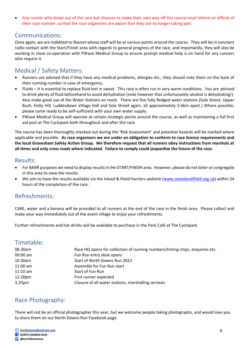• Any runner who drops out of the race but chooses to make their own way off the course must inform an official of their race number, so that the race organisers are aware that they are no longer taking part.

#### Communications:

Once again, we are indebted to *Raynet* whose staff will be at various points around the course. They will be in constant radio contact with the Start/Finish area with regards to general progress of the race, and importantly, they will also be working in close co-operation with PWave Medical Group to ensure prompt medical help is on hand for any runners who require it.

#### Medical / Safety Matters:

- Runners are advised that if they have any medical problems, allergies etc., they should note them on the back of their running number in case of emergency.
- Fluids It is essential to replace fluid lost in sweat. This race is often run in very warm conditions. You are advised to drink plenty of fluid beforehand to avoid dehydration (note however that unfortunately alcohol is dehydrating!). Also make good use of the Water Stations en route. There are five fully fledged water stations (Sole Street, Upper Bush, Holly Hill, Luddesdown Village Hall and Sole Street again, all approximately 5-6km apart.) Where possible, please come ready to be self-sufficient with your own water supply.
- PWave Medical Group will operate at certain strategic points around the course, as well as maintaining a full first aid post at The Cyclopark both throughout and after the race.

The course has been thoroughly checked out during the 'Risk Assessment' and potential hazards will be marked where applicable and possible. **As race organisers we are under an obligation to conform to race licence requirements and the local Gravesham Safety Action Group. We therefore request that all runners obey instructions from marshals at all times and only cross roads where indicated. Failure to comply could jeopardise the future of the race.** 

#### Results:

- For BARR purposes we need to display results in the START/FINISH area. However, please do not loiter or congregate in this area to view the results.
- We aim to have the results available via the Istead & Ifield Harriers website [\(www.isteadandifield.org.uk\)](http://www.isteadandifield.org.uk/) within 24 hours of the completion of the race.

#### Refreshments:

CAKE, water and a banana will be provided to all runners at the end of the race in the finish area. Please collect and make your way immediately out of the event village to enjoy your refreshments.

Further refreshments and hot drinks will be available to purchase in the Park Café at The Cyclopark.

#### Timetable:

| 08.30am            | Race HQ opens for collection of running numbers/timing chips, enquiries etc. |
|--------------------|------------------------------------------------------------------------------|
| 09:00 am           | Fun Run entry desk opens                                                     |
| 10.30am            | Start of North Downs Run 2022                                                |
| $11:00$ am         | Assemble for Fun Run start                                                   |
| $11:10$ am         | Start of Fun Run                                                             |
| 12.20pm            | First runner expected                                                        |
| 3.25 <sub>pm</sub> | Closure of all water stations, marshalling services                          |

#### Race Photography:

There will not be an official photographer this year, but we welcome people taking photographs, and would love you to share them on our North Downs Run Facebook page.

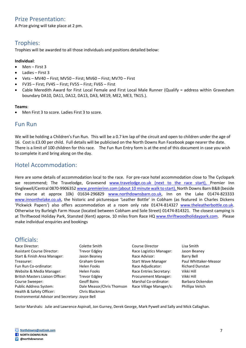#### Prize Presentation:

A Prize giving will take place at 2 pm.

#### Trophies:

Trophies will be awarded to all those individuals and positions detailed below:

#### **Individual**:

- Men First 3
- Ladies First 3
- Vets MV40 First; MV50 First; MV60 First; MV70 First
- FV35 First; FV45 First; FV55 First; FV65 First
- Cable Meredith Award for First Local Female and First Local Male Runner (Qualify = address within Gravesham boundary DA10, DA11, DA12, DA13, DA3, ME19, ME2, ME3, TN15.).

#### **Teams**:

• Men First 3 to score. Ladies First 3 to score.

#### Fun Run

We will be holding a Children's Fun Run. This will be a 0.7 km lap of the circuit and open to children under the age of 16. Cost is £3.00 per child. Full details will be publicised on the North Downs Run Facebook page nearer the date. There is a limit of 100 children for this race. The Fun Run Entry form is at the end of this document in case you wish to complete it and bring along on the day.

#### Hotel Accommodation:

Here are some details of accommodation local to the race. For pre-race hotel accommodation close to The Cyclopark we recommend; The Travelodge, Gravesend [www.travelodge.co.uk](http://www.travelodge.co.ukn/) (next to the race start), Premier Inn Singlewell/Central 0870-990635[2 www.premierinn.com](http://www.premierinn.com/) (about 10 minute walk to start), North Downs Barn B&B (beside the course at approx 10k) 01634-296829 [www.northdownsbarn.co.uk,](http://www.northdownsbarn.co.uk/) Inn on the Lake 01474-823333 [www.innonthelake.co.uk,](http://www.innonthelake.co.uk/) the historic and picturesque 'Leather Bottle' in Cobham (as featured in Charles Dickens 'Pickwick Papers') also offers accommodation at a room only rate 01474-814327 [www.theleatherbottle.co.uk.](http://www.theleatherbottle.co.uk/) Otherwise try Burleigh Farm House (located between Cobham and Sole Street) 01474-814321. The closest camping is at Thriftwood Holiday Park, Stansted (Kent) approx. 10 miles from Race HQ [www.thriftwoodholidaypark.com.](http://www.thriftwoodholidaypark.com/) Please make individual enquiries and bookings

#### Officials:

| Race Director:                                  | Colette Smith                 | Course Director             | Lisa Smith             |
|-------------------------------------------------|-------------------------------|-----------------------------|------------------------|
| <b>Assistant Course Director:</b>               | <b>Trevor Edgley</b>          | Race Logistics Manager:     | Jason Beaney           |
| Start & Finish Area Manager:                    | Race Advisor:<br>Jason Beaney |                             | Barry Bell             |
| Treasurer:                                      | Graham Green                  | <b>Start Wave Manager</b>   | Paul Whittaker-Measor  |
| Fun Run Co-ordinator:                           | Helen Fooks                   | Race Adjudicator:           | <b>Richard Dunstan</b> |
| Website & Media Manager:                        | Helen Fooks                   | Race Entries Secretary:     | Vikki Hill             |
| <b>British Masters Liaison Officer:</b>         | <b>Trevor Edgley</b>          | <b>Procurement Manager:</b> | Vikki Hill             |
| Course Sweeper:                                 | <b>Geoff Bains</b>            | Marshal Co-ordinator:       | Barbara Ockendon       |
| Public Address System:                          | Dale Measor/Chris Thomson     | Race Village Manager/s:     | Phillipa Veitch        |
| Health & Safety Officer:                        | Chris Blackman                |                             |                        |
| Environmental Advisor and Secretary: Joyce Bell |                               |                             |                        |

Sector Marshals: Julie and Lawrence Aspinall, Jon Gurney, Derek George, Mark Pywell and Sally and Mick Callaghan.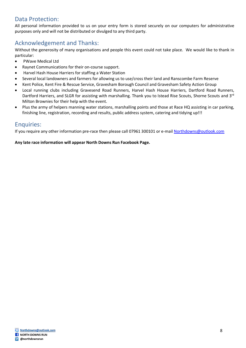#### Data Protection:

All personal information provided to us on your entry form is stored securely on our computers for administrative purposes only and will not be distributed or divulged to any third party.

#### Acknowledgement and Thanks:

Without the generosity of many organisations and people this event could not take place. We would like to thank in particular:

- PWave Medical Ltd
- Raynet Communications for their on-course support.
- Harvel Hash House Harriers for staffing a Water Station
- Several local landowners and farmers for allowing us to use/cross their land and Ranscombe Farm Reserve
- Kent Police, Kent Fire & Rescue Service, Gravesham Borough Council and Gravesham Safety Action Group
- Local running clubs including Gravesend Road Runners, Harvel Hash House Harriers, Dartford Road Runners, Dartford Harriers, and SLGR for assisting with marshalling. Thank you to Istead Rise Scouts, Shorne Scouts and 3<sup>rd</sup> Milton Brownies for their help with the event.
- Plus the army of helpers manning water stations, marshalling points and those at Race HQ assisting in car parking, finishing line, registration, recording and results, public address system, catering and tidying up!!!

#### Enquiries:

If you require any other information pre-race then please call 07961 300101 or e-mail [Northdowns@outlook.com](mailto:Northdowns@outlook.com) 

**Any late race information will appear North Downs Run Facebook Page.**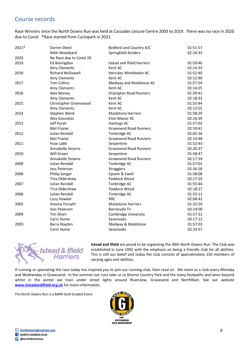#### Course records

Race Winners since the North Downs Run was held at Cascades Leisure Centre 2003 to 2019. There was no race in 2020 due to Covid. \*Race started from Cyclopark in 2021.

| 2021* | Darren Deed              | Bedford and Country A/C           | 01:51:57 |
|-------|--------------------------|-----------------------------------|----------|
|       | Nikki Woodyard           | Springfield Striders              | 02:24:33 |
| 2020  | No Race due to Covid 19  |                                   |          |
| 2019  | Ed Bovingdon             | <b>Istead and Ifield Harriers</b> | 01:59:40 |
|       | Amy Clements             | Kent AC                           | 02:14:33 |
| 2018  | Richard McDowell         | Hercules Wimbledon AC             | 01:52:40 |
|       | Amy Clements             | Kent AC                           | 02:12:40 |
| 2017  | <b>Tom Collins</b>       | Medway and Maidstone AC           | 01:57:54 |
|       | Amy Clements             | Kent AC                           | 02:14:25 |
| 2016  | Alex Money               | <b>Orpington Road Runners</b>     | 01:59:41 |
|       | Amy Clements             | Kent AC                           | 02:18:33 |
| 2015  | Christopher Greenwood    | Kent AC                           | 01:55:44 |
|       | Amy Clements             | Kent AC                           | 02:13:55 |
| 2014  | Stephen Wenk             | <b>Maidstone Harriers</b>         | 01:58:29 |
|       | Alex Gounelas            | Eton Manor AC                     | 02:16:39 |
| 2013  | Jeff Pyrah               | <b>Hastings AC</b>                | 01:57:02 |
|       | Mel Frazier              | <b>Gravesend Road Runners</b>     | 02:10:41 |
| 2012  | Julian Rendall           | Tonbridge AC                      | 02:02:26 |
|       | Mel Frazier              | <b>Gravesend Road Runners</b>     | 02:14:48 |
| 2011  | Huw Lobb                 | Serpentine                        | 01:52:43 |
|       | Annabelle Stearns        | <b>Gravesend Road Runners</b>     | 02:20:37 |
| 2010  | Will Green               | Serpentine                        | 01:58:47 |
|       | <b>Annabelle Stearns</b> | <b>Gravesend Road Runners</b>     | 02:17:59 |
| 2009  | Julian Rendall           | Tonbridge AC                      | 01:57:01 |
|       | Jess Peterson            | <b>Stragglers</b>                 | 02:16:18 |
| 2008  | Philip Sanger            | Epsom & Ewell                     | 01:58:08 |
|       | Tina Oldershaw           | Paddock Wood                      | 02:17:20 |
| 2007  | <b>Julian Rendall</b>    | Tonbridge AC                      | 01:55:44 |
|       | Tina Oldershaw           | Paddock Wood                      | 02:18:27 |
| 2006  | Julian Rendall           | Tonbridge AC                      | 01:55:11 |
|       | Lizzy Hawker             | <b>RRC</b>                        | 02:04:42 |
| 2005  | Antony Forsyth           | <b>Maidstone Harriers</b>         | 01:55:50 |
|       | Jess Peterson            | Barracuda Tri                     | 02:14:00 |
| 2004  | Tim Short                | Cambridge University              | 01:57:31 |
|       | Carin Hume               | Sevenoaks                         | 02:17:12 |
| 2003  | Barry Royden             | Medway & Maidstone                | 01:57:03 |
|       | Carin Hume               | Sevenoaks                         | 02:14:57 |



**Istead and Ifield** are proud to be organising the 38th North Downs Run. The Club was established in June 1992 with the emphasis on being a friendly club for all abilities. This is still our belief and today the club consists of approximately 150 members of varying ages and abilities.

If running or spectating the race today has inspired you to join our running club, then read on. We meet as a club every Monday and Wednesday in Gravesend. In the summer our runs take us to Shorne Country Park and the many footpaths and lanes beyond whilst in the winter we train under street lights around Riverview, Gravesend and Northfleet. See our website **[www.isteadandifield.org.uk](http://www.isteadandifield.org.uk/)** for more information.

The North Downs Run is a BARR Gold Graded Event

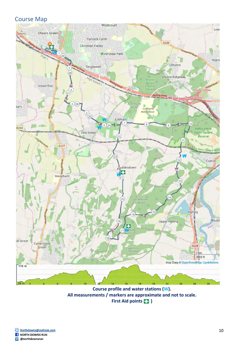#### Course Map



**Course profile and water stations (W). All measurements / markers are approximate and not to scale. First Aid points ( )**